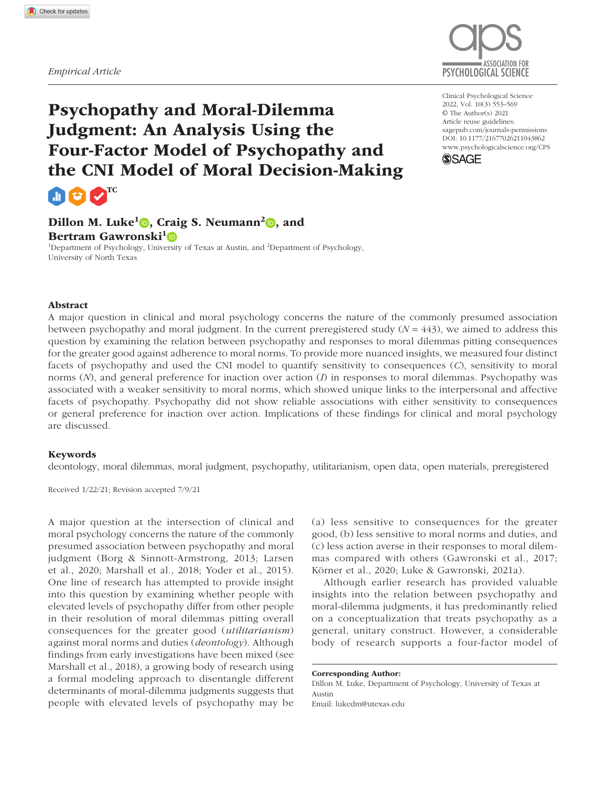

# Psychopathy and Moral-Dilemma Judgment: An Analysis Using the Four-Factor Model of Psychopathy and the CNI Model of Moral Decision-Making



## Dillon M. Luke<sup>1</sup> $\bullet$ , Craig S. Neumann<sup>2</sup> $\bullet$ , and Bertram Gawronski<sup>1</sup>

<sup>1</sup>Department of Psychology, University of Texas at Austin, and <sup>2</sup>Department of Psychology, University of North Texas

#### Abstract

A major question in clinical and moral psychology concerns the nature of the commonly presumed association between psychopathy and moral judgment. In the current preregistered study  $(N = 443)$ , we aimed to address this question by examining the relation between psychopathy and responses to moral dilemmas pitting consequences for the greater good against adherence to moral norms. To provide more nuanced insights, we measured four distinct facets of psychopathy and used the CNI model to quantify sensitivity to consequences (*C*), sensitivity to moral norms (*N*), and general preference for inaction over action (*I*) in responses to moral dilemmas. Psychopathy was associated with a weaker sensitivity to moral norms, which showed unique links to the interpersonal and affective facets of psychopathy. Psychopathy did not show reliable associations with either sensitivity to consequences or general preference for inaction over action. Implications of these findings for clinical and moral psychology are discussed.

#### Keywords

deontology, moral dilemmas, moral judgment, psychopathy, utilitarianism, open data, open materials, preregistered

Received 1/22/21; Revision accepted 7/9/21

A major question at the intersection of clinical and moral psychology concerns the nature of the commonly presumed association between psychopathy and moral judgment (Borg & Sinnott-Armstrong, 2013; Larsen et al., 2020; Marshall et al., 2018; Yoder et al., 2015). One line of research has attempted to provide insight into this question by examining whether people with elevated levels of psychopathy differ from other people in their resolution of moral dilemmas pitting overall consequences for the greater good (*utilitarianism*) against moral norms and duties (*deontology*). Although findings from early investigations have been mixed (see Marshall et al., 2018), a growing body of research using a formal modeling approach to disentangle different determinants of moral-dilemma judgments suggests that people with elevated levels of psychopathy may be

(a) less sensitive to consequences for the greater good, (b) less sensitive to moral norms and duties, and (c) less action averse in their responses to moral dilemmas compared with others (Gawronski et al., 2017; Körner et al., 2020; Luke & Gawronski, 2021a).

Although earlier research has provided valuable insights into the relation between psychopathy and moral-dilemma judgments, it has predominantly relied on a conceptualization that treats psychopathy as a general, unitary construct. However, a considerable body of research supports a four-factor model of

Corresponding Author: Dillon M. Luke, Department of Psychology, University of Texas at Austin Email: [lukedm@utexas.edu](mailto:lukedm@utexas.edu)

https://doi.org/10.1177/21677026211043862 DOI: 10.1177/21677026211043862 Clinical Psychological Science 2022, Vol. 10(3) 553–569 © The Author(s) 2021 Article reuse guidelines: [sagepub.com/journals-permissions](https://us.sagepub.com/en-us/journals-permissions) [www.psychologicalscience.org/](http://www.psychologicalscience.org/cps)CPS

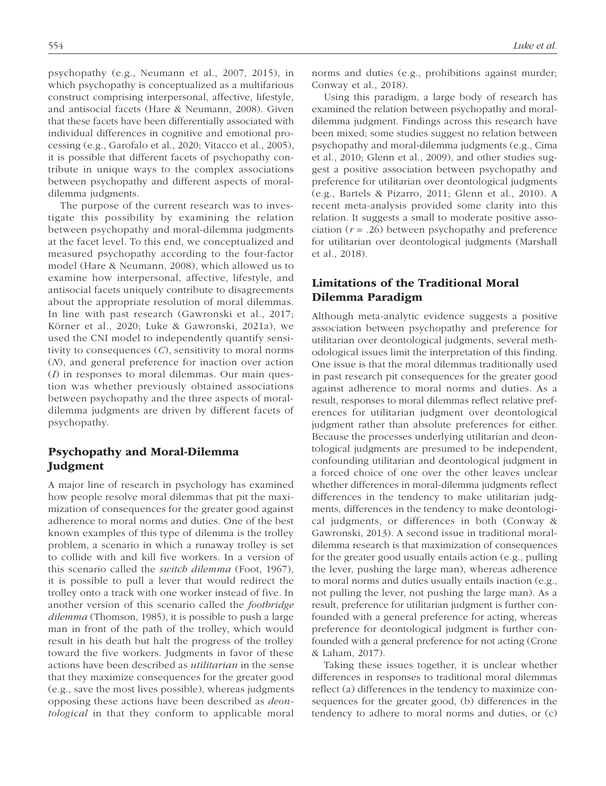psychopathy (e.g., Neumann et al., 2007, 2015), in which psychopathy is conceptualized as a multifarious construct comprising interpersonal, affective, lifestyle, and antisocial facets (Hare & Neumann, 2008). Given that these facets have been differentially associated with individual differences in cognitive and emotional processing (e.g., Garofalo et al., 2020; Vitacco et al., 2005), it is possible that different facets of psychopathy contribute in unique ways to the complex associations between psychopathy and different aspects of moraldilemma judgments.

The purpose of the current research was to investigate this possibility by examining the relation between psychopathy and moral-dilemma judgments at the facet level. To this end, we conceptualized and measured psychopathy according to the four-factor model (Hare & Neumann, 2008), which allowed us to examine how interpersonal, affective, lifestyle, and antisocial facets uniquely contribute to disagreements about the appropriate resolution of moral dilemmas. In line with past research (Gawronski et al., 2017; Körner et al., 2020; Luke & Gawronski, 2021a), we used the CNI model to independently quantify sensitivity to consequences (*C*), sensitivity to moral norms (*N*), and general preference for inaction over action (*I*) in responses to moral dilemmas. Our main question was whether previously obtained associations between psychopathy and the three aspects of moraldilemma judgments are driven by different facets of psychopathy.

# Psychopathy and Moral-Dilemma Judgment

A major line of research in psychology has examined how people resolve moral dilemmas that pit the maximization of consequences for the greater good against adherence to moral norms and duties. One of the best known examples of this type of dilemma is the trolley problem, a scenario in which a runaway trolley is set to collide with and kill five workers. In a version of this scenario called the *switch dilemma* (Foot, 1967), it is possible to pull a lever that would redirect the trolley onto a track with one worker instead of five. In another version of this scenario called the *footbridge dilemma* (Thomson, 1985), it is possible to push a large man in front of the path of the trolley, which would result in his death but halt the progress of the trolley toward the five workers. Judgments in favor of these actions have been described as *utilitarian* in the sense that they maximize consequences for the greater good (e.g., save the most lives possible), whereas judgments opposing these actions have been described as *deontological* in that they conform to applicable moral norms and duties (e.g., prohibitions against murder; Conway et al., 2018).

Using this paradigm, a large body of research has examined the relation between psychopathy and moraldilemma judgment. Findings across this research have been mixed; some studies suggest no relation between psychopathy and moral-dilemma judgments (e.g., Cima et al., 2010; Glenn et al., 2009), and other studies suggest a positive association between psychopathy and preference for utilitarian over deontological judgments (e.g., Bartels & Pizarro, 2011; Glenn et al., 2010). A recent meta-analysis provided some clarity into this relation. It suggests a small to moderate positive association  $(r = .26)$  between psychopathy and preference for utilitarian over deontological judgments (Marshall et al., 2018).

# Limitations of the Traditional Moral Dilemma Paradigm

Although meta-analytic evidence suggests a positive association between psychopathy and preference for utilitarian over deontological judgments, several methodological issues limit the interpretation of this finding. One issue is that the moral dilemmas traditionally used in past research pit consequences for the greater good against adherence to moral norms and duties. As a result, responses to moral dilemmas reflect relative preferences for utilitarian judgment over deontological judgment rather than absolute preferences for either. Because the processes underlying utilitarian and deontological judgments are presumed to be independent, confounding utilitarian and deontological judgment in a forced choice of one over the other leaves unclear whether differences in moral-dilemma judgments reflect differences in the tendency to make utilitarian judgments, differences in the tendency to make deontological judgments, or differences in both (Conway & Gawronski, 2013). A second issue in traditional moraldilemma research is that maximization of consequences for the greater good usually entails action (e.g., pulling the lever, pushing the large man), whereas adherence to moral norms and duties usually entails inaction (e.g., not pulling the lever, not pushing the large man). As a result, preference for utilitarian judgment is further confounded with a general preference for acting, whereas preference for deontological judgment is further confounded with a general preference for not acting (Crone & Laham, 2017).

Taking these issues together, it is unclear whether differences in responses to traditional moral dilemmas reflect (a) differences in the tendency to maximize consequences for the greater good, (b) differences in the tendency to adhere to moral norms and duties, or (c)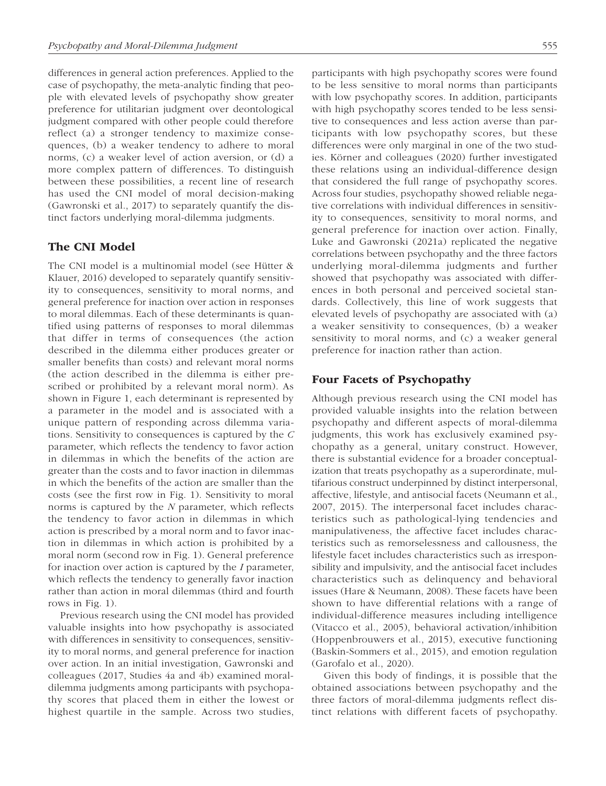differences in general action preferences. Applied to the case of psychopathy, the meta-analytic finding that people with elevated levels of psychopathy show greater preference for utilitarian judgment over deontological judgment compared with other people could therefore reflect (a) a stronger tendency to maximize consequences, (b) a weaker tendency to adhere to moral norms, (c) a weaker level of action aversion, or (d) a more complex pattern of differences. To distinguish between these possibilities, a recent line of research has used the CNI model of moral decision-making (Gawronski et al., 2017) to separately quantify the distinct factors underlying moral-dilemma judgments.

## The CNI Model

The CNI model is a multinomial model (see Hütter & Klauer, 2016) developed to separately quantify sensitivity to consequences, sensitivity to moral norms, and general preference for inaction over action in responses to moral dilemmas. Each of these determinants is quantified using patterns of responses to moral dilemmas that differ in terms of consequences (the action described in the dilemma either produces greater or smaller benefits than costs) and relevant moral norms (the action described in the dilemma is either prescribed or prohibited by a relevant moral norm). As shown in Figure 1, each determinant is represented by a parameter in the model and is associated with a unique pattern of responding across dilemma variations. Sensitivity to consequences is captured by the *C* parameter, which reflects the tendency to favor action in dilemmas in which the benefits of the action are greater than the costs and to favor inaction in dilemmas in which the benefits of the action are smaller than the costs (see the first row in Fig. 1). Sensitivity to moral norms is captured by the *N* parameter, which reflects the tendency to favor action in dilemmas in which action is prescribed by a moral norm and to favor inaction in dilemmas in which action is prohibited by a moral norm (second row in Fig. 1). General preference for inaction over action is captured by the *I* parameter, which reflects the tendency to generally favor inaction rather than action in moral dilemmas (third and fourth rows in Fig. 1).

Previous research using the CNI model has provided valuable insights into how psychopathy is associated with differences in sensitivity to consequences, sensitivity to moral norms, and general preference for inaction over action. In an initial investigation, Gawronski and colleagues (2017, Studies 4a and 4b) examined moraldilemma judgments among participants with psychopathy scores that placed them in either the lowest or highest quartile in the sample. Across two studies, participants with high psychopathy scores were found to be less sensitive to moral norms than participants with low psychopathy scores. In addition, participants with high psychopathy scores tended to be less sensitive to consequences and less action averse than participants with low psychopathy scores, but these differences were only marginal in one of the two studies. Körner and colleagues (2020) further investigated these relations using an individual-difference design that considered the full range of psychopathy scores. Across four studies, psychopathy showed reliable negative correlations with individual differences in sensitivity to consequences, sensitivity to moral norms, and general preference for inaction over action. Finally, Luke and Gawronski (2021a) replicated the negative correlations between psychopathy and the three factors underlying moral-dilemma judgments and further showed that psychopathy was associated with differences in both personal and perceived societal standards. Collectively, this line of work suggests that elevated levels of psychopathy are associated with (a) a weaker sensitivity to consequences, (b) a weaker sensitivity to moral norms, and (c) a weaker general preference for inaction rather than action.

## Four Facets of Psychopathy

Although previous research using the CNI model has provided valuable insights into the relation between psychopathy and different aspects of moral-dilemma judgments, this work has exclusively examined psychopathy as a general, unitary construct. However, there is substantial evidence for a broader conceptualization that treats psychopathy as a superordinate, multifarious construct underpinned by distinct interpersonal, affective, lifestyle, and antisocial facets (Neumann et al., 2007, 2015). The interpersonal facet includes characteristics such as pathological-lying tendencies and manipulativeness, the affective facet includes characteristics such as remorselessness and callousness, the lifestyle facet includes characteristics such as irresponsibility and impulsivity, and the antisocial facet includes characteristics such as delinquency and behavioral issues (Hare & Neumann, 2008). These facets have been shown to have differential relations with a range of individual-difference measures including intelligence (Vitacco et al., 2005), behavioral activation/inhibition (Hoppenbrouwers et al., 2015), executive functioning (Baskin-Sommers et al., 2015), and emotion regulation (Garofalo et al., 2020).

Given this body of findings, it is possible that the obtained associations between psychopathy and the three factors of moral-dilemma judgments reflect distinct relations with different facets of psychopathy.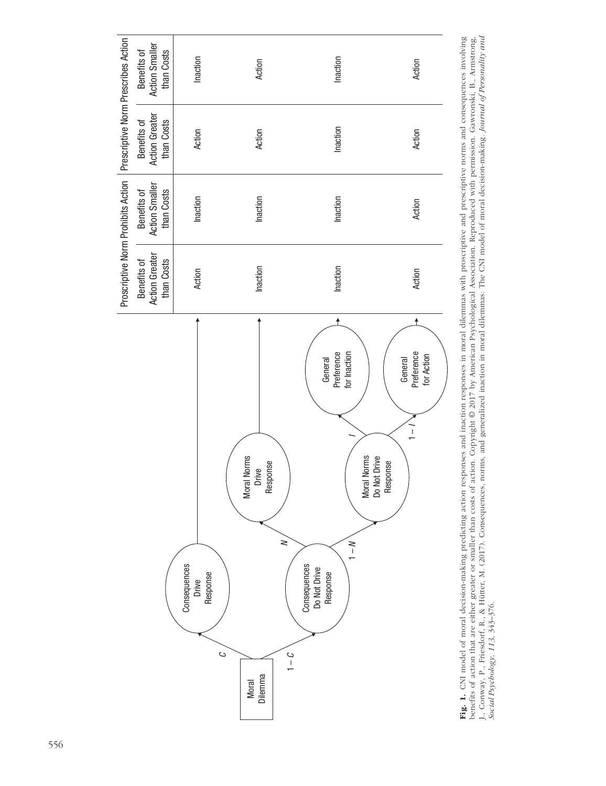

**Fig. 1.** CNI model of moral decision-making predicting action responses and inaction responses in moral dilemmas with proscriptive and prescriptive norms and consequences involving<br>benefits of action that are either great Fig. 1. CNI model of moral decision-making predicting action responses and inaction responses in moral dilemmas with proscriptive and prescriptive norms and consequences involving benefits of action that are either greater or smaller than costs of action. Copyright © 2017 by American Psychological Association. Reproduced with permission. Gawronski, B., Armstrong, J., Conway, P., Friesdorf, R., & Hütter, M. (2017). Consequences, norms, and generalized inaction in moral dilemmas: The CNI model of moral decision-making. *Journal of Personality and Social Psychology, 113*, 343–376.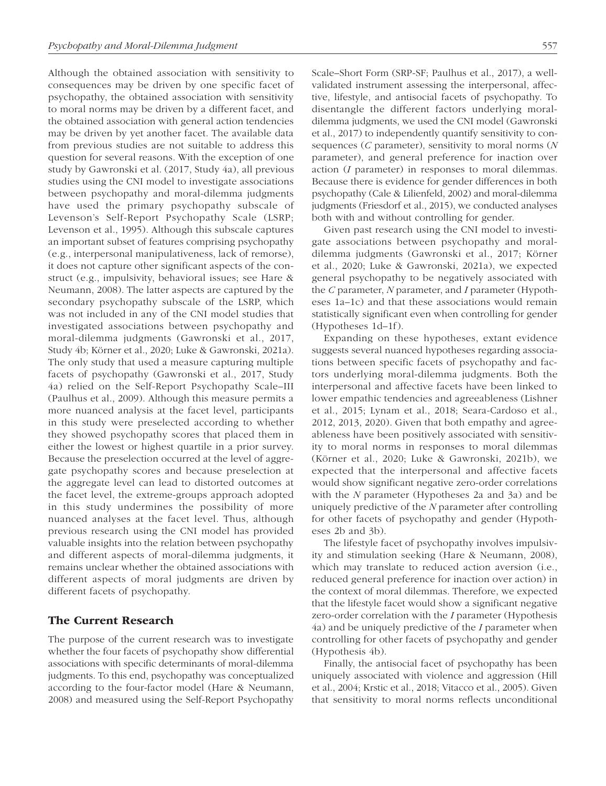Although the obtained association with sensitivity to consequences may be driven by one specific facet of psychopathy, the obtained association with sensitivity to moral norms may be driven by a different facet, and the obtained association with general action tendencies may be driven by yet another facet. The available data from previous studies are not suitable to address this question for several reasons. With the exception of one study by Gawronski et al. (2017, Study 4a), all previous studies using the CNI model to investigate associations between psychopathy and moral-dilemma judgments have used the primary psychopathy subscale of Levenson's Self-Report Psychopathy Scale (LSRP; Levenson et al., 1995). Although this subscale captures an important subset of features comprising psychopathy (e.g., interpersonal manipulativeness, lack of remorse), it does not capture other significant aspects of the construct (e.g., impulsivity, behavioral issues; see Hare & Neumann, 2008). The latter aspects are captured by the secondary psychopathy subscale of the LSRP, which was not included in any of the CNI model studies that investigated associations between psychopathy and moral-dilemma judgments (Gawronski et al., 2017, Study 4b; Körner et al., 2020; Luke & Gawronski, 2021a). The only study that used a measure capturing multiple facets of psychopathy (Gawronski et al., 2017, Study 4a) relied on the Self-Report Psychopathy Scale–III (Paulhus et al., 2009). Although this measure permits a more nuanced analysis at the facet level, participants in this study were preselected according to whether they showed psychopathy scores that placed them in either the lowest or highest quartile in a prior survey. Because the preselection occurred at the level of aggregate psychopathy scores and because preselection at the aggregate level can lead to distorted outcomes at the facet level, the extreme-groups approach adopted in this study undermines the possibility of more nuanced analyses at the facet level. Thus, although previous research using the CNI model has provided valuable insights into the relation between psychopathy and different aspects of moral-dilemma judgments, it remains unclear whether the obtained associations with different aspects of moral judgments are driven by different facets of psychopathy.

## The Current Research

The purpose of the current research was to investigate whether the four facets of psychopathy show differential associations with specific determinants of moral-dilemma judgments. To this end, psychopathy was conceptualized according to the four-factor model (Hare & Neumann, 2008) and measured using the Self-Report Psychopathy Scale–Short Form (SRP-SF; Paulhus et al., 2017), a wellvalidated instrument assessing the interpersonal, affective, lifestyle, and antisocial facets of psychopathy. To disentangle the different factors underlying moraldilemma judgments, we used the CNI model (Gawronski et al., 2017) to independently quantify sensitivity to consequences (*C* parameter), sensitivity to moral norms (*N* parameter), and general preference for inaction over action (*I* parameter) in responses to moral dilemmas. Because there is evidence for gender differences in both psychopathy (Cale & Lilienfeld, 2002) and moral-dilemma judgments (Friesdorf et al., 2015), we conducted analyses both with and without controlling for gender.

Given past research using the CNI model to investigate associations between psychopathy and moraldilemma judgments (Gawronski et al., 2017; Körner et al., 2020; Luke & Gawronski, 2021a), we expected general psychopathy to be negatively associated with the *C* parameter, *N* parameter, and *I* parameter (Hypotheses 1a–1c) and that these associations would remain statistically significant even when controlling for gender (Hypotheses 1d–1f).

Expanding on these hypotheses, extant evidence suggests several nuanced hypotheses regarding associations between specific facets of psychopathy and factors underlying moral-dilemma judgments. Both the interpersonal and affective facets have been linked to lower empathic tendencies and agreeableness (Lishner et al., 2015; Lynam et al., 2018; Seara-Cardoso et al., 2012, 2013, 2020). Given that both empathy and agreeableness have been positively associated with sensitivity to moral norms in responses to moral dilemmas (Körner et al., 2020; Luke & Gawronski, 2021b), we expected that the interpersonal and affective facets would show significant negative zero-order correlations with the *N* parameter (Hypotheses 2a and 3a) and be uniquely predictive of the *N* parameter after controlling for other facets of psychopathy and gender (Hypotheses 2b and 3b).

The lifestyle facet of psychopathy involves impulsivity and stimulation seeking (Hare & Neumann, 2008), which may translate to reduced action aversion (i.e., reduced general preference for inaction over action) in the context of moral dilemmas. Therefore, we expected that the lifestyle facet would show a significant negative zero-order correlation with the *I* parameter (Hypothesis 4a) and be uniquely predictive of the *I* parameter when controlling for other facets of psychopathy and gender (Hypothesis 4b).

Finally, the antisocial facet of psychopathy has been uniquely associated with violence and aggression (Hill et al., 2004; Krstic et al., 2018; Vitacco et al., 2005). Given that sensitivity to moral norms reflects unconditional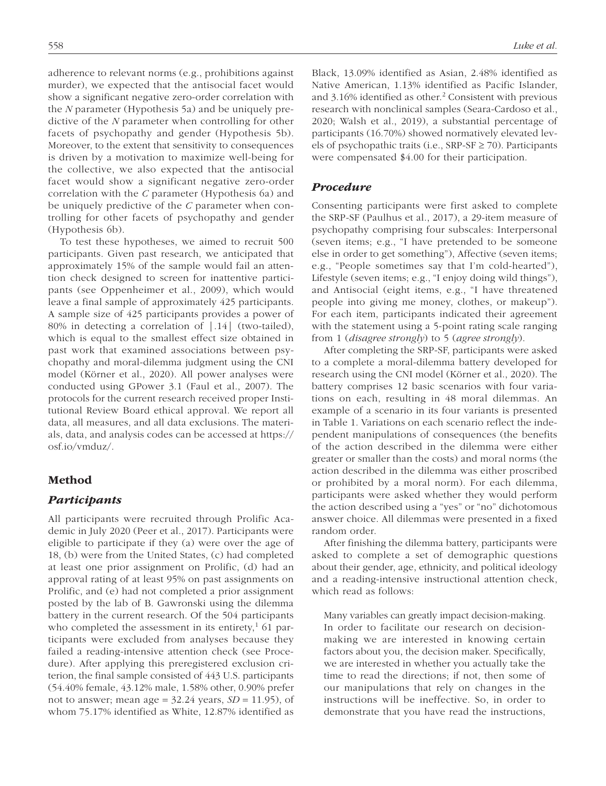adherence to relevant norms (e.g., prohibitions against murder), we expected that the antisocial facet would show a significant negative zero-order correlation with the *N* parameter (Hypothesis 5a) and be uniquely predictive of the *N* parameter when controlling for other facets of psychopathy and gender (Hypothesis 5b). Moreover, to the extent that sensitivity to consequences is driven by a motivation to maximize well-being for the collective, we also expected that the antisocial facet would show a significant negative zero-order correlation with the *C* parameter (Hypothesis 6a) and be uniquely predictive of the *C* parameter when controlling for other facets of psychopathy and gender (Hypothesis 6b).

To test these hypotheses, we aimed to recruit 500 participants. Given past research, we anticipated that approximately 15% of the sample would fail an attention check designed to screen for inattentive participants (see Oppenheimer et al., 2009), which would leave a final sample of approximately 425 participants. A sample size of 425 participants provides a power of 80% in detecting a correlation of |.14| (two-tailed), which is equal to the smallest effect size obtained in past work that examined associations between psychopathy and moral-dilemma judgment using the CNI model (Körner et al., 2020). All power analyses were conducted using GPower 3.1 (Faul et al., 2007). The protocols for the current research received proper Institutional Review Board ethical approval. We report all data, all measures, and all data exclusions. The materials, data, and analysis codes can be accessed at [https://](https://osf.io/vmduz/) [osf.io/vmduz/.](https://osf.io/vmduz/)

## Method

#### *Participants*

All participants were recruited through Prolific Academic in July 2020 (Peer et al., 2017). Participants were eligible to participate if they (a) were over the age of 18, (b) were from the United States, (c) had completed at least one prior assignment on Prolific, (d) had an approval rating of at least 95% on past assignments on Prolific, and (e) had not completed a prior assignment posted by the lab of B. Gawronski using the dilemma battery in the current research. Of the 504 participants who completed the assessment in its entirety,<sup>1</sup> 61 participants were excluded from analyses because they failed a reading-intensive attention check (see Procedure). After applying this preregistered exclusion criterion, the final sample consisted of 443 U.S. participants (54.40% female, 43.12% male, 1.58% other, 0.90% prefer not to answer; mean age =  $32.24$  years,  $SD = 11.95$ ), of whom 75.17% identified as White, 12.87% identified as Black, 13.09% identified as Asian, 2.48% identified as Native American, 1.13% identified as Pacific Islander, and 3.16% identified as other.<sup>2</sup> Consistent with previous research with nonclinical samples (Seara-Cardoso et al., 2020; Walsh et al., 2019), a substantial percentage of participants (16.70%) showed normatively elevated levels of psychopathic traits (i.e.,  $SRP-SF \geq 70$ ). Participants were compensated \$4.00 for their participation.

#### *Procedure*

Consenting participants were first asked to complete the SRP-SF (Paulhus et al., 2017), a 29-item measure of psychopathy comprising four subscales: Interpersonal (seven items; e.g., "I have pretended to be someone else in order to get something"), Affective (seven items; e.g., "People sometimes say that I'm cold-hearted"), Lifestyle (seven items; e.g., "I enjoy doing wild things"), and Antisocial (eight items, e.g., "I have threatened people into giving me money, clothes, or makeup"). For each item, participants indicated their agreement with the statement using a 5-point rating scale ranging from 1 (*disagree strongly*) to 5 (*agree strongly*).

After completing the SRP-SF, participants were asked to a complete a moral-dilemma battery developed for research using the CNI model (Körner et al., 2020). The battery comprises 12 basic scenarios with four variations on each, resulting in 48 moral dilemmas. An example of a scenario in its four variants is presented in Table 1. Variations on each scenario reflect the independent manipulations of consequences (the benefits of the action described in the dilemma were either greater or smaller than the costs) and moral norms (the action described in the dilemma was either proscribed or prohibited by a moral norm). For each dilemma, participants were asked whether they would perform the action described using a "yes" or "no" dichotomous answer choice. All dilemmas were presented in a fixed random order.

After finishing the dilemma battery, participants were asked to complete a set of demographic questions about their gender, age, ethnicity, and political ideology and a reading-intensive instructional attention check, which read as follows:

Many variables can greatly impact decision-making. In order to facilitate our research on decisionmaking we are interested in knowing certain factors about you, the decision maker. Specifically, we are interested in whether you actually take the time to read the directions; if not, then some of our manipulations that rely on changes in the instructions will be ineffective. So, in order to demonstrate that you have read the instructions,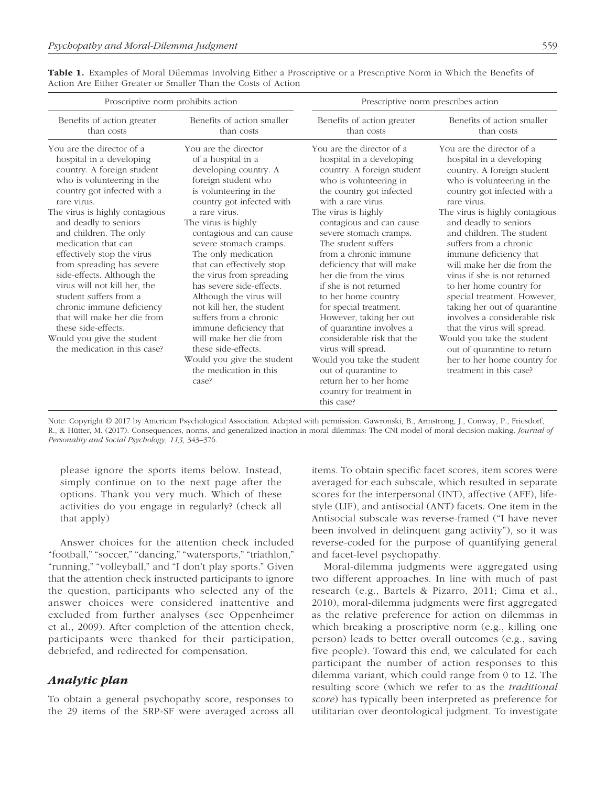| Proscriptive norm prohibits action                                                                                                                                                                                                                                                                                                                                                                                                                                                                                                                                              |                                                                                                                                                                                                                                                                                                                                                                                                                                                                                                                                                                                  | Prescriptive norm prescribes action                                                                                                                                                                                                                                                                                                                                                                                                                                                                                                                                                             |                                                                                                                                                                                                                                                                                                                                                                                                                                                                                                                                                                                                                                                           |  |  |
|---------------------------------------------------------------------------------------------------------------------------------------------------------------------------------------------------------------------------------------------------------------------------------------------------------------------------------------------------------------------------------------------------------------------------------------------------------------------------------------------------------------------------------------------------------------------------------|----------------------------------------------------------------------------------------------------------------------------------------------------------------------------------------------------------------------------------------------------------------------------------------------------------------------------------------------------------------------------------------------------------------------------------------------------------------------------------------------------------------------------------------------------------------------------------|-------------------------------------------------------------------------------------------------------------------------------------------------------------------------------------------------------------------------------------------------------------------------------------------------------------------------------------------------------------------------------------------------------------------------------------------------------------------------------------------------------------------------------------------------------------------------------------------------|-----------------------------------------------------------------------------------------------------------------------------------------------------------------------------------------------------------------------------------------------------------------------------------------------------------------------------------------------------------------------------------------------------------------------------------------------------------------------------------------------------------------------------------------------------------------------------------------------------------------------------------------------------------|--|--|
| Benefits of action greater<br>than costs                                                                                                                                                                                                                                                                                                                                                                                                                                                                                                                                        | Benefits of action smaller<br>than costs                                                                                                                                                                                                                                                                                                                                                                                                                                                                                                                                         | Benefits of action greater<br>than costs                                                                                                                                                                                                                                                                                                                                                                                                                                                                                                                                                        | Benefits of action smaller<br>than costs                                                                                                                                                                                                                                                                                                                                                                                                                                                                                                                                                                                                                  |  |  |
| You are the director of a<br>hospital in a developing<br>country. A foreign student<br>who is volunteering in the<br>country got infected with a<br>rare virus.<br>The virus is highly contagious<br>and deadly to seniors<br>and children. The only<br>medication that can<br>effectively stop the virus<br>from spreading has severe<br>side-effects. Although the<br>virus will not kill her, the<br>student suffers from a<br>chronic immune deficiency<br>that will make her die from<br>these side-effects.<br>Would you give the student<br>the medication in this case? | You are the director<br>of a hospital in a<br>developing country. A<br>foreign student who<br>is volunteering in the<br>country got infected with<br>a rare virus.<br>The virus is highly<br>contagious and can cause<br>severe stomach cramps.<br>The only medication<br>that can effectively stop<br>the virus from spreading<br>has severe side-effects.<br>Although the virus will<br>not kill her, the student<br>suffers from a chronic<br>immune deficiency that<br>will make her die from<br>these side-effects.<br>Would you give the student<br>the medication in this | You are the director of a<br>hospital in a developing<br>country. A foreign student<br>who is volunteering in<br>the country got infected<br>with a rare virus.<br>The virus is highly<br>contagious and can cause<br>severe stomach cramps.<br>The student suffers<br>from a chronic immune<br>deficiency that will make<br>her die from the virus<br>if she is not returned<br>to her home country<br>for special treatment.<br>However, taking her out<br>of quarantine involves a<br>considerable risk that the<br>virus will spread.<br>Would you take the student<br>out of quarantine to | You are the director of a<br>hospital in a developing<br>country. A foreign student<br>who is volunteering in the<br>country got infected with a<br>rare virus.<br>The virus is highly contagious<br>and deadly to seniors<br>and children. The student<br>suffers from a chronic<br>immune deficiency that<br>will make her die from the<br>virus if she is not returned<br>to her home country for<br>special treatment. However,<br>taking her out of quarantine<br>involves a considerable risk<br>that the virus will spread.<br>Would you take the student<br>out of quarantine to return<br>her to her home country for<br>treatment in this case? |  |  |
|                                                                                                                                                                                                                                                                                                                                                                                                                                                                                                                                                                                 | case?                                                                                                                                                                                                                                                                                                                                                                                                                                                                                                                                                                            | return her to her home<br>country for treatment in<br>this case?                                                                                                                                                                                                                                                                                                                                                                                                                                                                                                                                |                                                                                                                                                                                                                                                                                                                                                                                                                                                                                                                                                                                                                                                           |  |  |

Table 1. Examples of Moral Dilemmas Involving Either a Proscriptive or a Prescriptive Norm in Which the Benefits of Action Are Either Greater or Smaller Than the Costs of Action

Note: Copyright © 2017 by American Psychological Association. Adapted with permission. Gawronski, B., Armstrong, J., Conway, P., Friesdorf, R., & Hütter, M. (2017). Consequences, norms, and generalized inaction in moral dilemmas: The CNI model of moral decision-making. *Journal of Personality and Social Psychology, 113*, 343–376.

please ignore the sports items below. Instead, simply continue on to the next page after the options. Thank you very much. Which of these activities do you engage in regularly? (check all that apply)

Answer choices for the attention check included "football," "soccer," "dancing," "watersports," "triathlon," "running," "volleyball," and "I don't play sports." Given that the attention check instructed participants to ignore the question, participants who selected any of the answer choices were considered inattentive and excluded from further analyses (see Oppenheimer et al., 2009). After completion of the attention check, participants were thanked for their participation, debriefed, and redirected for compensation.

## *Analytic plan*

To obtain a general psychopathy score, responses to the 29 items of the SRP-SF were averaged across all items. To obtain specific facet scores, item scores were averaged for each subscale, which resulted in separate scores for the interpersonal (INT), affective (AFF), lifestyle (LIF), and antisocial (ANT) facets. One item in the Antisocial subscale was reverse-framed ("I have never been involved in delinquent gang activity"), so it was reverse-coded for the purpose of quantifying general and facet-level psychopathy.

Moral-dilemma judgments were aggregated using two different approaches. In line with much of past research (e.g., Bartels & Pizarro, 2011; Cima et al., 2010), moral-dilemma judgments were first aggregated as the relative preference for action on dilemmas in which breaking a proscriptive norm (e.g., killing one person) leads to better overall outcomes (e.g., saving five people). Toward this end, we calculated for each participant the number of action responses to this dilemma variant, which could range from 0 to 12. The resulting score (which we refer to as the *traditional score*) has typically been interpreted as preference for utilitarian over deontological judgment. To investigate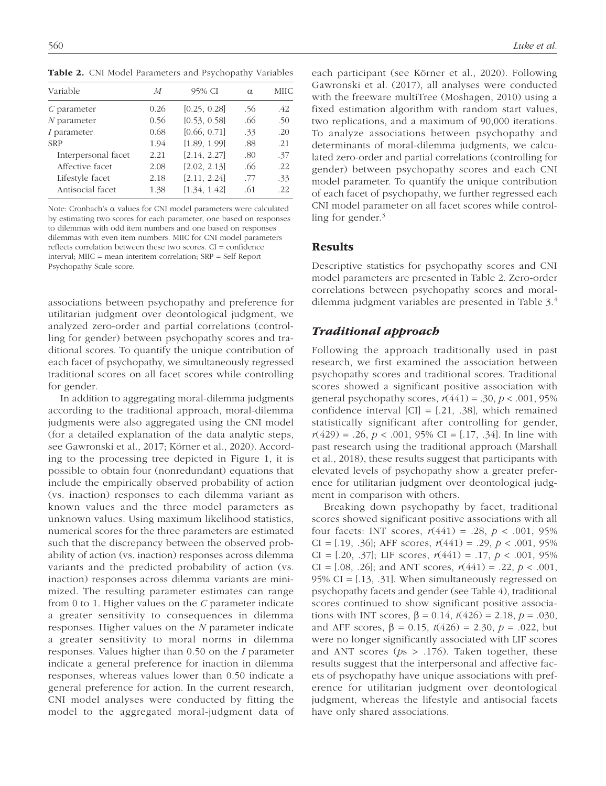Table 2. CNI Model Parameters and Psychopathy Variables

| M    | 95% CI       | $\alpha$ | MHC |
|------|--------------|----------|-----|
| 0.26 | [0.25, 0.28] | .56      | .42 |
| 0.56 | [0.53, 0.58] | .66      | .50 |
| 0.68 | [0.66, 0.71] | .33      | .20 |
| 1.94 | [1.89, 1.99] | .88      | .21 |
| 2.21 | [2.14, 2.27] | .80      | .37 |
| 2.08 | [2.02, 2.13] | .66      | .22 |
| 2.18 | [2.11, 2.24] | .77      | .33 |
| 1.38 | [1.34, 1.42] | .61      | .22 |
|      |              |          |     |

Note: Cronbach's α values for CNI model parameters were calculated by estimating two scores for each parameter, one based on responses to dilemmas with odd item numbers and one based on responses dilemmas with even item numbers. MIIC for CNI model parameters reflects correlation between these two scores. CI = confidence interval; MIIC = mean interitem correlation; SRP = Self-Report Psychopathy Scale score.

associations between psychopathy and preference for utilitarian judgment over deontological judgment, we analyzed zero-order and partial correlations (controlling for gender) between psychopathy scores and traditional scores. To quantify the unique contribution of each facet of psychopathy, we simultaneously regressed traditional scores on all facet scores while controlling for gender.

In addition to aggregating moral-dilemma judgments according to the traditional approach, moral-dilemma judgments were also aggregated using the CNI model (for a detailed explanation of the data analytic steps, see Gawronski et al., 2017; Körner et al., 2020). According to the processing tree depicted in Figure 1, it is possible to obtain four (nonredundant) equations that include the empirically observed probability of action (vs. inaction) responses to each dilemma variant as known values and the three model parameters as unknown values. Using maximum likelihood statistics, numerical scores for the three parameters are estimated such that the discrepancy between the observed probability of action (vs. inaction) responses across dilemma variants and the predicted probability of action (vs. inaction) responses across dilemma variants are minimized. The resulting parameter estimates can range from 0 to 1. Higher values on the *C* parameter indicate a greater sensitivity to consequences in dilemma responses. Higher values on the *N* parameter indicate a greater sensitivity to moral norms in dilemma responses. Values higher than 0.50 on the *I* parameter indicate a general preference for inaction in dilemma responses, whereas values lower than 0.50 indicate a general preference for action. In the current research, CNI model analyses were conducted by fitting the model to the aggregated moral-judgment data of each participant (see Körner et al., 2020). Following Gawronski et al. (2017), all analyses were conducted with the freeware multiTree (Moshagen, 2010) using a fixed estimation algorithm with random start values, two replications, and a maximum of 90,000 iterations. To analyze associations between psychopathy and determinants of moral-dilemma judgments, we calculated zero-order and partial correlations (controlling for gender) between psychopathy scores and each CNI model parameter. To quantify the unique contribution of each facet of psychopathy, we further regressed each CNI model parameter on all facet scores while controlling for gender. $3$ 

## Results

Descriptive statistics for psychopathy scores and CNI model parameters are presented in Table 2. Zero-order correlations between psychopathy scores and moraldilemma judgment variables are presented in Table 3.4

## *Traditional approach*

Following the approach traditionally used in past research, we first examined the association between psychopathy scores and traditional scores. Traditional scores showed a significant positive association with general psychopathy scores,  $r(441) = .30, p < .001, 95\%$ confidence interval  $[CI] = [.21, .38]$ , which remained statistically significant after controlling for gender,  $r(429) = .26, p < .001, 95\% \text{ CI} = [.17, .34].$  In line with past research using the traditional approach (Marshall et al., 2018), these results suggest that participants with elevated levels of psychopathy show a greater preference for utilitarian judgment over deontological judgment in comparison with others.

Breaking down psychopathy by facet, traditional scores showed significant positive associations with all four facets: INT scores,  $r(441) = .28$ ,  $p < .001$ , 95% CI = [.19, .36]; AFF scores, *r*(441) = .29, *p* < .001, 95% CI =  $[0.20, 0.37]$ ; LIF scores,  $r(441) = 0.17$ ,  $p < 0.001$ , 95% CI =  $[.08, .26]$ ; and ANT scores,  $r(441) = .22, p < .001$ , 95% CI =  $[0.13, 0.31]$ . When simultaneously regressed on psychopathy facets and gender (see Table 4), traditional scores continued to show significant positive associations with INT scores,  $β = 0.14$ ,  $t(426) = 2.18$ ,  $p = .030$ , and AFF scores,  $\beta = 0.15$ ,  $t(426) = 2.30$ ,  $p = .022$ , but were no longer significantly associated with LIF scores and ANT scores (*p*s > .176). Taken together, these results suggest that the interpersonal and affective facets of psychopathy have unique associations with preference for utilitarian judgment over deontological judgment, whereas the lifestyle and antisocial facets have only shared associations.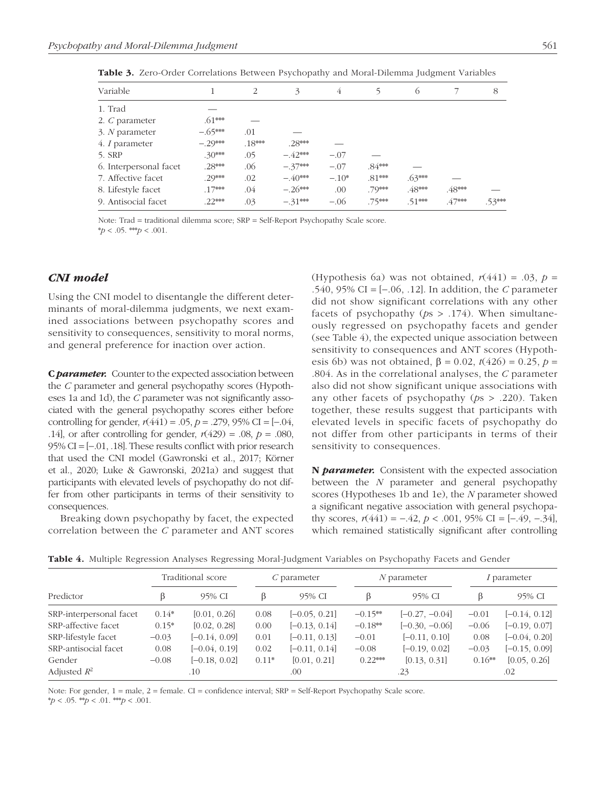| Variable               |           | 2        | 3         | 4       |          | $\big($  |          | 8      |
|------------------------|-----------|----------|-----------|---------|----------|----------|----------|--------|
| 1. Trad                |           |          |           |         |          |          |          |        |
| 2. C parameter         | $.61***$  |          |           |         |          |          |          |        |
| 3. N parameter         | $-.65***$ | .01      |           |         |          |          |          |        |
| 4. <i>I</i> parameter  | $-.29***$ | $.18***$ | $.28***$  |         |          |          |          |        |
| 5. SRP                 | $.30***$  | .05      | $-.42***$ | $-.07$  |          |          |          |        |
| 6. Interpersonal facet | $.28***$  | .06      | $-.37***$ | $-.07$  | $.84***$ |          |          |        |
| 7. Affective facet     | $.29***$  | .02      | $-.40***$ | $-.10*$ | $.81***$ | $.63***$ |          |        |
| 8. Lifestyle facet     | $17***$   | .04      | $-.26***$ | .00     | .79***   | $.48***$ | $.48***$ |        |
| 9. Antisocial facet    | $22***$   | .03      | $-.31***$ | $-.06$  | .75***   | $.51***$ | $.47***$ | .53*** |

Table 3. Zero-Order Correlations Between Psychopathy and Moral-Dilemma Judgment Variables

Note: Trad = traditional dilemma score; SRP = Self-Report Psychopathy Scale score.  $*p < .05$ . \*\**p* < .001.

## *CNI model*

Using the CNI model to disentangle the different determinants of moral-dilemma judgments, we next examined associations between psychopathy scores and sensitivity to consequences, sensitivity to moral norms, and general preference for inaction over action.

C *parameter.* Counter to the expected association between the *C* parameter and general psychopathy scores (Hypotheses 1a and 1d), the *C* parameter was not significantly associated with the general psychopathy scores either before controlling for gender, *r*(441) = .05, *p* = .279, 95% CI = [−.04, .14], or after controlling for gender,  $r(429) = .08$ ,  $p = .080$ , 95% CI = [−.01, .18]. These results conflict with prior research that used the CNI model (Gawronski et al., 2017; Körner et al., 2020; Luke & Gawronski, 2021a) and suggest that participants with elevated levels of psychopathy do not differ from other participants in terms of their sensitivity to consequences.

Breaking down psychopathy by facet, the expected correlation between the *C* parameter and ANT scores (Hypothesis 6a) was not obtained,  $r(441) = .03$ ,  $p =$ .540, 95% CI = [−.06, .12]. In addition, the *C* parameter did not show significant correlations with any other facets of psychopathy (*p*s > .174). When simultaneously regressed on psychopathy facets and gender (see Table 4), the expected unique association between sensitivity to consequences and ANT scores (Hypothesis 6b) was not obtained,  $β = 0.02$ ,  $t(426) = 0.25$ ,  $p =$ .804. As in the correlational analyses, the *C* parameter also did not show significant unique associations with any other facets of psychopathy (*p*s > .220). Taken together, these results suggest that participants with elevated levels in specific facets of psychopathy do not differ from other participants in terms of their sensitivity to consequences.

N *parameter.* Consistent with the expected association between the *N* parameter and general psychopathy scores (Hypotheses 1b and 1e), the *N* parameter showed a significant negative association with general psychopathy scores,  $r(441) = -.42$ ,  $p < .001$ , 95% CI = [−.49, −.34], which remained statistically significant after controlling

|                         | Traditional score<br>$C$ parameter<br>$N$ parameter |                 | I parameter |                 |           |                  |          |                 |
|-------------------------|-----------------------------------------------------|-----------------|-------------|-----------------|-----------|------------------|----------|-----------------|
| Predictor               |                                                     | 95% CI          | B           | 95% CI          |           | 95% CI           | B        | 95% CI          |
| SRP-interpersonal facet | $0.14*$                                             | [0.01, 0.26]    | 0.08        | $[-0.05, 0.21]$ | $-0.15**$ | $[-0.27, -0.04]$ | $-0.01$  | $[-0.14, 0.12]$ |
| SRP-affective facet     | $0.15*$                                             | [0.02, 0.28]    | 0.00        | $[-0.13, 0.14]$ | $-0.18**$ | $[-0.30, -0.06]$ | $-0.06$  | $[-0.19, 0.07]$ |
| SRP-lifestyle facet     | $-0.03$                                             | $[-0.14, 0.09]$ | 0.01        | $[-0.11, 0.13]$ | $-0.01$   | $[-0.11, 0.10]$  | 0.08     | $[-0.04, 0.20]$ |
| SRP-antisocial facet    | 0.08                                                | $[-0.04, 0.19]$ | 0.02        | $[-0.11, 0.14]$ | $-0.08$   | $[-0.19, 0.02]$  | $-0.03$  | $[-0.15, 0.09]$ |
| Gender                  | $-0.08$                                             | $[-0.18, 0.02]$ | $0.11*$     | [0.01, 0.21]    | $0.22***$ | [0.13, 0.31]     | $0.16**$ | [0.05, 0.26]    |
| Adjusted $R^2$          |                                                     | .10             |             | .00             |           | .23              |          | .02             |

Note: For gender, 1 = male, 2 = female. CI = confidence interval; SRP = Self-Report Psychopathy Scale score. \**p* < .05. \*\**p* < .01. \*\*\**p* < .001.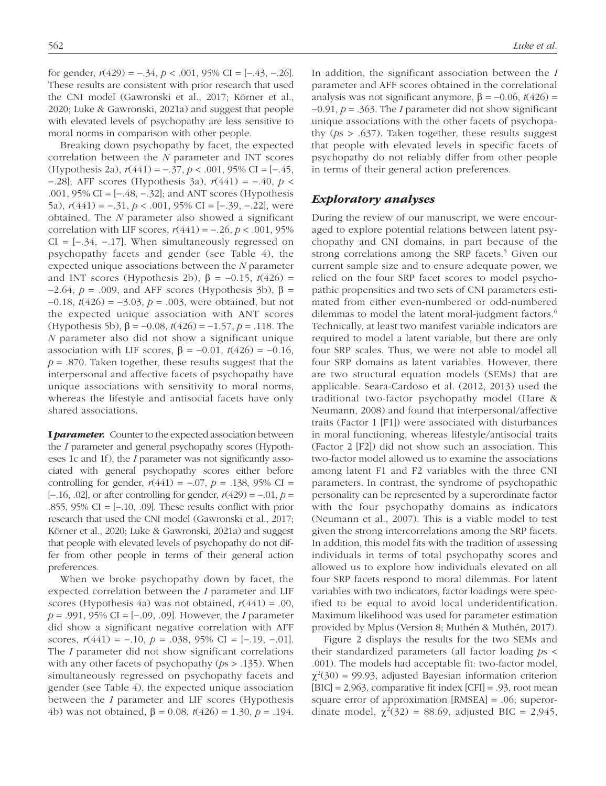for gender,  $r(429) = -.34$ ,  $p < .001$ , 95% CI = [−.43, −.26]. These results are consistent with prior research that used the CNI model (Gawronski et al., 2017; Körner et al., 2020; Luke & Gawronski, 2021a) and suggest that people with elevated levels of psychopathy are less sensitive to moral norms in comparison with other people.

Breaking down psychopathy by facet, the expected correlation between the *N* parameter and INT scores (Hypothesis 2a), *r*(441) = −.37, *p* < .001, 95% CI = [−.45, −.28]; AFF scores (Hypothesis 3a), *r*(441) = −.40, *p* < .001, 95% CI = [−.48, −.32]; and ANT scores (Hypothesis 5a), *r*(441) = −.31, *p* < .001, 95% CI = [−.39, −.22], were obtained. The *N* parameter also showed a significant correlation with LIF scores,  $r(441) = -.26, p < .001, 95\%$  $CI = [-34, -17]$ . When simultaneously regressed on psychopathy facets and gender (see Table 4), the expected unique associations between the *N* parameter and INT scores (Hypothesis 2b),  $\beta = -0.15$ ,  $t(426)$  =  $-2.64$ ,  $p = .009$ , and AFF scores (Hypothesis 3b),  $\beta =$ −0.18, *t*(426) = −3.03, *p* = .003, were obtained, but not the expected unique association with ANT scores (Hypothesis 5b), β = −0.08, *t*(426) = −1.57, *p* = .118. The *N* parameter also did not show a significant unique association with LIF scores,  $β = −0.01$ ,  $t(426) = −0.16$ ,  $p = .870$ . Taken together, these results suggest that the interpersonal and affective facets of psychopathy have unique associations with sensitivity to moral norms, whereas the lifestyle and antisocial facets have only shared associations.

I *parameter.* Counter to the expected association between the *I* parameter and general psychopathy scores (Hypotheses 1c and 1f), the *I* parameter was not significantly associated with general psychopathy scores either before controlling for gender, *r*(441) = −.07, *p* = .138, 95% CI = [−.16, .02], or after controlling for gender, *r*(429) = −.01, *p* = .855, 95% CI = [−.10, .09]. These results conflict with prior research that used the CNI model (Gawronski et al., 2017; Körner et al., 2020; Luke & Gawronski, 2021a) and suggest that people with elevated levels of psychopathy do not differ from other people in terms of their general action preferences.

When we broke psychopathy down by facet, the expected correlation between the *I* parameter and LIF scores (Hypothesis 4a) was not obtained,  $r(441) = .00$ , *p* = .991, 95% CI = [−.09, .09]. However, the *I* parameter did show a significant negative correlation with AFF scores,  $r(441) = -.10, p = .038, 95%$  CI = [−.19, −.01]. The *I* parameter did not show significant correlations with any other facets of psychopathy (*p*s > .135). When simultaneously regressed on psychopathy facets and gender (see Table 4), the expected unique association between the *I* parameter and LIF scores (Hypothesis 4b) was not obtained, β = 0.08, *t*(426) = 1.30, *p* = .194. In addition, the significant association between the *I* parameter and AFF scores obtained in the correlational analysis was not significant anymore,  $β = -0.06$ ,  $t(426) =$ −0.91, *p* = .363. The *I* parameter did not show significant unique associations with the other facets of psychopathy ( $ps > .637$ ). Taken together, these results suggest that people with elevated levels in specific facets of psychopathy do not reliably differ from other people in terms of their general action preferences.

#### *Exploratory analyses*

During the review of our manuscript, we were encouraged to explore potential relations between latent psychopathy and CNI domains, in part because of the strong correlations among the SRP facets.<sup>5</sup> Given our current sample size and to ensure adequate power, we relied on the four SRP facet scores to model psychopathic propensities and two sets of CNI parameters estimated from either even-numbered or odd-numbered dilemmas to model the latent moral-judgment factors.<sup>6</sup> Technically, at least two manifest variable indicators are required to model a latent variable, but there are only four SRP scales. Thus, we were not able to model all four SRP domains as latent variables. However, there are two structural equation models (SEMs) that are applicable. Seara-Cardoso et al. (2012, 2013) used the traditional two-factor psychopathy model (Hare & Neumann, 2008) and found that interpersonal/affective traits (Factor 1 [F1]) were associated with disturbances in moral functioning, whereas lifestyle/antisocial traits (Factor 2 [F2]) did not show such an association. This two-factor model allowed us to examine the associations among latent F1 and F2 variables with the three CNI parameters. In contrast, the syndrome of psychopathic personality can be represented by a superordinate factor with the four psychopathy domains as indicators (Neumann et al., 2007). This is a viable model to test given the strong intercorrelations among the SRP facets. In addition, this model fits with the tradition of assessing individuals in terms of total psychopathy scores and allowed us to explore how individuals elevated on all four SRP facets respond to moral dilemmas. For latent variables with two indicators, factor loadings were specified to be equal to avoid local underidentification. Maximum likelihood was used for parameter estimation provided by Mplus (Version 8; Muthén & Muthén, 2017).

Figure 2 displays the results for the two SEMs and their standardized parameters (all factor loading *p*s < .001). The models had acceptable fit: two-factor model,  $\chi^2(30) = 99.93$ , adjusted Bayesian information criterion  $[BIC] = 2,963$ , comparative fit index  $[CFI] = .93$ , root mean square error of approximation [RMSEA] = .06; superordinate model,  $\chi^2(32) = 88.69$ , adjusted BIC = 2,945,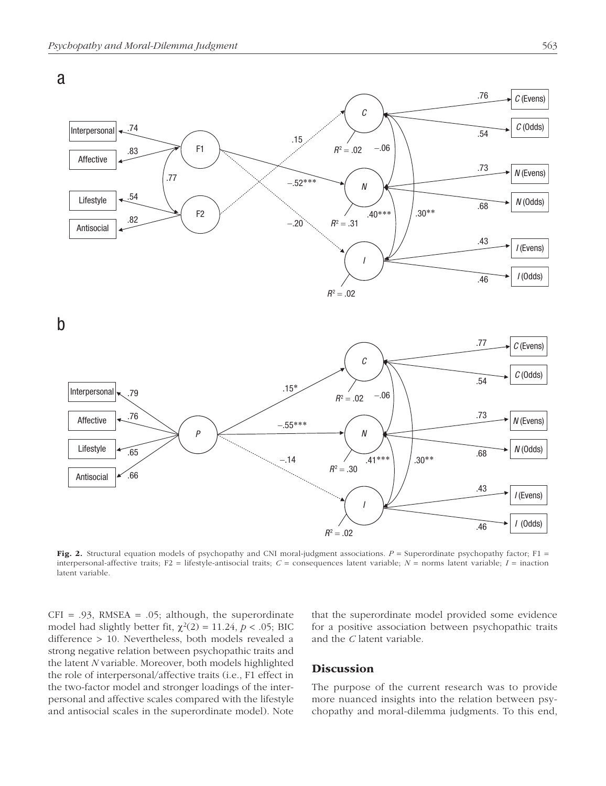



Fig. 2. Structural equation models of psychopathy and CNI moral-judgment associations.  $P =$  Superordinate psychopathy factor; F1 = interpersonal-affective traits; F2 = lifestyle-antisocial traits; *C* = consequences latent variable; *N* = norms latent variable; *I* = inaction latent variable.

 $CFI = .93$ , RMSEA = .05; although, the superordinate model had slightly better fit,  $\chi^2(2) = 11.24$ ,  $p < .05$ ; BIC difference > 10. Nevertheless, both models revealed a strong negative relation between psychopathic traits and the latent *N* variable. Moreover, both models highlighted the role of interpersonal/affective traits (i.e., F1 effect in the two-factor model and stronger loadings of the interpersonal and affective scales compared with the lifestyle and antisocial scales in the superordinate model). Note

that the superordinate model provided some evidence for a positive association between psychopathic traits and the *C* latent variable.

#### **Discussion**

The purpose of the current research was to provide more nuanced insights into the relation between psychopathy and moral-dilemma judgments. To this end,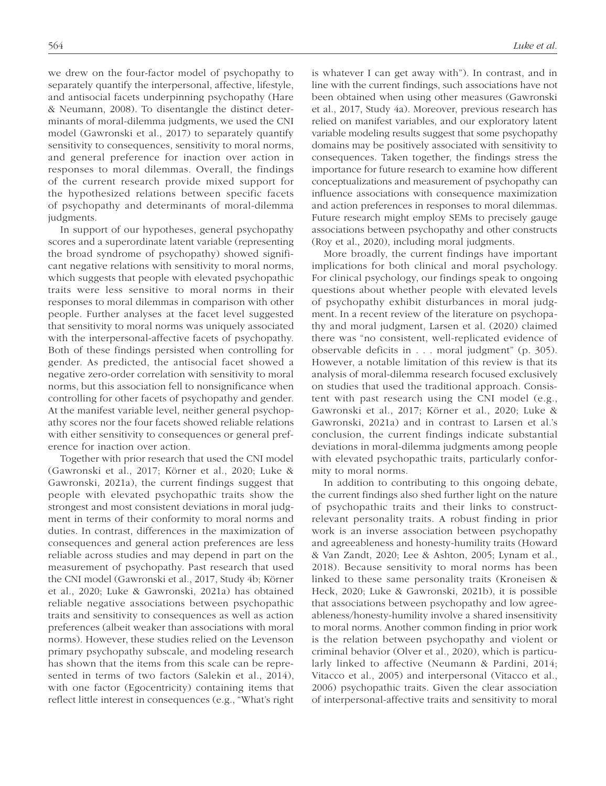we drew on the four-factor model of psychopathy to separately quantify the interpersonal, affective, lifestyle, and antisocial facets underpinning psychopathy (Hare & Neumann, 2008). To disentangle the distinct determinants of moral-dilemma judgments, we used the CNI model (Gawronski et al., 2017) to separately quantify sensitivity to consequences, sensitivity to moral norms, and general preference for inaction over action in responses to moral dilemmas. Overall, the findings of the current research provide mixed support for the hypothesized relations between specific facets of psychopathy and determinants of moral-dilemma judgments.

In support of our hypotheses, general psychopathy scores and a superordinate latent variable (representing the broad syndrome of psychopathy) showed significant negative relations with sensitivity to moral norms, which suggests that people with elevated psychopathic traits were less sensitive to moral norms in their responses to moral dilemmas in comparison with other people. Further analyses at the facet level suggested that sensitivity to moral norms was uniquely associated with the interpersonal-affective facets of psychopathy. Both of these findings persisted when controlling for gender. As predicted, the antisocial facet showed a negative zero-order correlation with sensitivity to moral norms, but this association fell to nonsignificance when controlling for other facets of psychopathy and gender. At the manifest variable level, neither general psychopathy scores nor the four facets showed reliable relations with either sensitivity to consequences or general preference for inaction over action.

Together with prior research that used the CNI model (Gawronski et al., 2017; Körner et al., 2020; Luke & Gawronski, 2021a), the current findings suggest that people with elevated psychopathic traits show the strongest and most consistent deviations in moral judgment in terms of their conformity to moral norms and duties. In contrast, differences in the maximization of consequences and general action preferences are less reliable across studies and may depend in part on the measurement of psychopathy. Past research that used the CNI model (Gawronski et al., 2017, Study 4b; Körner et al., 2020; Luke & Gawronski, 2021a) has obtained reliable negative associations between psychopathic traits and sensitivity to consequences as well as action preferences (albeit weaker than associations with moral norms). However, these studies relied on the Levenson primary psychopathy subscale, and modeling research has shown that the items from this scale can be represented in terms of two factors (Salekin et al., 2014), with one factor (Egocentricity) containing items that reflect little interest in consequences (e.g., "What's right is whatever I can get away with"). In contrast, and in line with the current findings, such associations have not been obtained when using other measures (Gawronski et al., 2017, Study 4a). Moreover, previous research has relied on manifest variables, and our exploratory latent variable modeling results suggest that some psychopathy domains may be positively associated with sensitivity to consequences. Taken together, the findings stress the importance for future research to examine how different conceptualizations and measurement of psychopathy can influence associations with consequence maximization and action preferences in responses to moral dilemmas. Future research might employ SEMs to precisely gauge associations between psychopathy and other constructs (Roy et al., 2020), including moral judgments.

More broadly, the current findings have important implications for both clinical and moral psychology. For clinical psychology, our findings speak to ongoing questions about whether people with elevated levels of psychopathy exhibit disturbances in moral judgment. In a recent review of the literature on psychopathy and moral judgment, Larsen et al. (2020) claimed there was "no consistent, well-replicated evidence of observable deficits in . . . moral judgment" (p. 305). However, a notable limitation of this review is that its analysis of moral-dilemma research focused exclusively on studies that used the traditional approach. Consistent with past research using the CNI model (e.g., Gawronski et al., 2017; Körner et al., 2020; Luke & Gawronski, 2021a) and in contrast to Larsen et al.'s conclusion, the current findings indicate substantial deviations in moral-dilemma judgments among people with elevated psychopathic traits, particularly conformity to moral norms.

In addition to contributing to this ongoing debate, the current findings also shed further light on the nature of psychopathic traits and their links to constructrelevant personality traits. A robust finding in prior work is an inverse association between psychopathy and agreeableness and honesty-humility traits (Howard & Van Zandt, 2020; Lee & Ashton, 2005; Lynam et al., 2018). Because sensitivity to moral norms has been linked to these same personality traits (Kroneisen & Heck, 2020; Luke & Gawronski, 2021b), it is possible that associations between psychopathy and low agreeableness/honesty-humility involve a shared insensitivity to moral norms. Another common finding in prior work is the relation between psychopathy and violent or criminal behavior (Olver et al., 2020), which is particularly linked to affective (Neumann & Pardini, 2014; Vitacco et al., 2005) and interpersonal (Vitacco et al., 2006) psychopathic traits. Given the clear association of interpersonal-affective traits and sensitivity to moral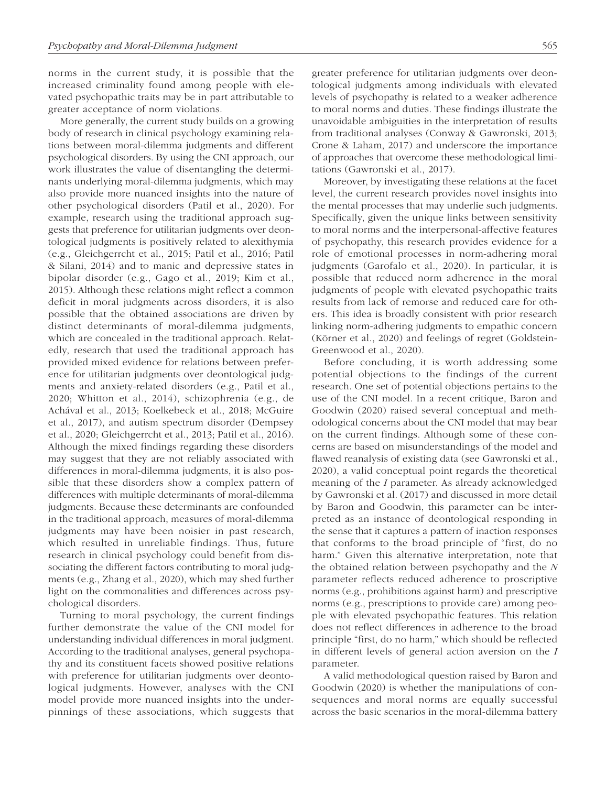norms in the current study, it is possible that the increased criminality found among people with elevated psychopathic traits may be in part attributable to greater acceptance of norm violations.

More generally, the current study builds on a growing body of research in clinical psychology examining relations between moral-dilemma judgments and different psychological disorders. By using the CNI approach, our work illustrates the value of disentangling the determinants underlying moral-dilemma judgments, which may also provide more nuanced insights into the nature of other psychological disorders (Patil et al., 2020). For example, research using the traditional approach suggests that preference for utilitarian judgments over deontological judgments is positively related to alexithymia (e.g., Gleichgerrcht et al., 2015; Patil et al., 2016; Patil & Silani, 2014) and to manic and depressive states in bipolar disorder (e.g., Gago et al., 2019; Kim et al., 2015). Although these relations might reflect a common deficit in moral judgments across disorders, it is also possible that the obtained associations are driven by distinct determinants of moral-dilemma judgments, which are concealed in the traditional approach. Relatedly, research that used the traditional approach has provided mixed evidence for relations between preference for utilitarian judgments over deontological judgments and anxiety-related disorders (e.g., Patil et al., 2020; Whitton et al., 2014), schizophrenia (e.g., de Achával et al., 2013; Koelkebeck et al., 2018; McGuire et al., 2017), and autism spectrum disorder (Dempsey et al., 2020; Gleichgerrcht et al., 2013; Patil et al., 2016). Although the mixed findings regarding these disorders may suggest that they are not reliably associated with differences in moral-dilemma judgments, it is also possible that these disorders show a complex pattern of differences with multiple determinants of moral-dilemma judgments. Because these determinants are confounded in the traditional approach, measures of moral-dilemma judgments may have been noisier in past research, which resulted in unreliable findings. Thus, future research in clinical psychology could benefit from dissociating the different factors contributing to moral judgments (e.g., Zhang et al., 2020), which may shed further light on the commonalities and differences across psychological disorders.

Turning to moral psychology, the current findings further demonstrate the value of the CNI model for understanding individual differences in moral judgment. According to the traditional analyses, general psychopathy and its constituent facets showed positive relations with preference for utilitarian judgments over deontological judgments. However, analyses with the CNI model provide more nuanced insights into the underpinnings of these associations, which suggests that greater preference for utilitarian judgments over deontological judgments among individuals with elevated levels of psychopathy is related to a weaker adherence to moral norms and duties. These findings illustrate the unavoidable ambiguities in the interpretation of results from traditional analyses (Conway & Gawronski, 2013; Crone & Laham, 2017) and underscore the importance of approaches that overcome these methodological limitations (Gawronski et al., 2017).

Moreover, by investigating these relations at the facet level, the current research provides novel insights into the mental processes that may underlie such judgments. Specifically, given the unique links between sensitivity to moral norms and the interpersonal-affective features of psychopathy, this research provides evidence for a role of emotional processes in norm-adhering moral judgments (Garofalo et al., 2020). In particular, it is possible that reduced norm adherence in the moral judgments of people with elevated psychopathic traits results from lack of remorse and reduced care for others. This idea is broadly consistent with prior research linking norm-adhering judgments to empathic concern (Körner et al., 2020) and feelings of regret (Goldstein-Greenwood et al., 2020).

Before concluding, it is worth addressing some potential objections to the findings of the current research. One set of potential objections pertains to the use of the CNI model. In a recent critique, Baron and Goodwin (2020) raised several conceptual and methodological concerns about the CNI model that may bear on the current findings. Although some of these concerns are based on misunderstandings of the model and flawed reanalysis of existing data (see Gawronski et al., 2020), a valid conceptual point regards the theoretical meaning of the *I* parameter. As already acknowledged by Gawronski et al. (2017) and discussed in more detail by Baron and Goodwin, this parameter can be interpreted as an instance of deontological responding in the sense that it captures a pattern of inaction responses that conforms to the broad principle of "first, do no harm." Given this alternative interpretation, note that the obtained relation between psychopathy and the *N* parameter reflects reduced adherence to proscriptive norms (e.g., prohibitions against harm) and prescriptive norms (e.g., prescriptions to provide care) among people with elevated psychopathic features. This relation does not reflect differences in adherence to the broad principle "first, do no harm," which should be reflected in different levels of general action aversion on the *I* parameter.

A valid methodological question raised by Baron and Goodwin (2020) is whether the manipulations of consequences and moral norms are equally successful across the basic scenarios in the moral-dilemma battery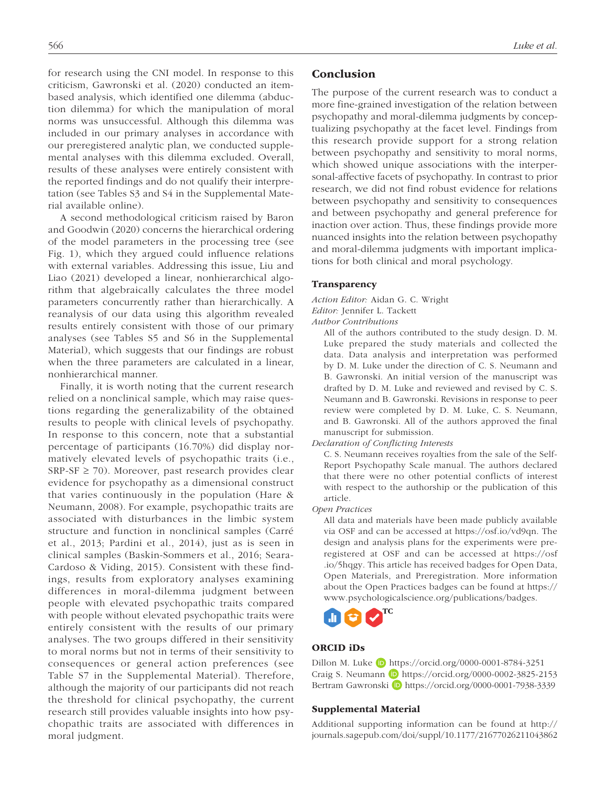for research using the CNI model. In response to this criticism, Gawronski et al. (2020) conducted an itembased analysis, which identified one dilemma (abduction dilemma) for which the manipulation of moral norms was unsuccessful. Although this dilemma was included in our primary analyses in accordance with our preregistered analytic plan, we conducted supplemental analyses with this dilemma excluded. Overall,

results of these analyses were entirely consistent with the reported findings and do not qualify their interpretation (see Tables S3 and S4 in the Supplemental Material available online). A second methodological criticism raised by Baron

and Goodwin (2020) concerns the hierarchical ordering of the model parameters in the processing tree (see Fig. 1), which they argued could influence relations with external variables. Addressing this issue, Liu and Liao (2021) developed a linear, nonhierarchical algorithm that algebraically calculates the three model parameters concurrently rather than hierarchically. A reanalysis of our data using this algorithm revealed results entirely consistent with those of our primary analyses (see Tables S5 and S6 in the Supplemental Material), which suggests that our findings are robust when the three parameters are calculated in a linear, nonhierarchical manner.

Finally, it is worth noting that the current research relied on a nonclinical sample, which may raise questions regarding the generalizability of the obtained results to people with clinical levels of psychopathy. In response to this concern, note that a substantial percentage of participants (16.70%) did display normatively elevated levels of psychopathic traits (i.e.,  $SRP-SF \geq 70$ ). Moreover, past research provides clear evidence for psychopathy as a dimensional construct that varies continuously in the population (Hare & Neumann, 2008). For example, psychopathic traits are associated with disturbances in the limbic system structure and function in nonclinical samples (Carré et al., 2013; Pardini et al., 2014), just as is seen in clinical samples (Baskin-Sommers et al., 2016; Seara-Cardoso & Viding, 2015). Consistent with these findings, results from exploratory analyses examining differences in moral-dilemma judgment between people with elevated psychopathic traits compared with people without elevated psychopathic traits were entirely consistent with the results of our primary analyses. The two groups differed in their sensitivity to moral norms but not in terms of their sensitivity to consequences or general action preferences (see Table S7 in the Supplemental Material). Therefore, although the majority of our participants did not reach the threshold for clinical psychopathy, the current research still provides valuable insights into how psychopathic traits are associated with differences in moral judgment.

### Conclusion

The purpose of the current research was to conduct a more fine-grained investigation of the relation between psychopathy and moral-dilemma judgments by conceptualizing psychopathy at the facet level. Findings from this research provide support for a strong relation between psychopathy and sensitivity to moral norms, which showed unique associations with the interpersonal-affective facets of psychopathy. In contrast to prior research, we did not find robust evidence for relations between psychopathy and sensitivity to consequences and between psychopathy and general preference for inaction over action. Thus, these findings provide more nuanced insights into the relation between psychopathy and moral-dilemma judgments with important implications for both clinical and moral psychology.

#### Transparency

*Action Editor:* Aidan G. C. Wright *Editor:* Jennifer L. Tackett

*Author Contributions*

All of the authors contributed to the study design. D. M. Luke prepared the study materials and collected the data. Data analysis and interpretation was performed by D. M. Luke under the direction of C. S. Neumann and B. Gawronski. An initial version of the manuscript was drafted by D. M. Luke and reviewed and revised by C. S. Neumann and B. Gawronski. Revisions in response to peer review were completed by D. M. Luke, C. S. Neumann, and B. Gawronski. All of the authors approved the final manuscript for submission.

#### *Declaration of Conflicting Interests*

C. S. Neumann receives royalties from the sale of the Self-Report Psychopathy Scale manual. The authors declared that there were no other potential conflicts of interest with respect to the authorship or the publication of this article.

*Open Practices*

All data and materials have been made publicly available via OSF and can be accessed at https://osf.io/vd9qn. The design and analysis plans for the experiments were preregistered at OSF and can be accessed at [https://osf](https://osf.io/5hqgy) [.io/5hqgy](https://osf.io/5hqgy). This article has received badges for Open Data, Open Materials, and Preregistration. More information about the Open Practices badges can be found at [https://](https://www.psychologicalscience.org/publications/badges) [www.psychologicalscience.org/publications/badges.](https://www.psychologicalscience.org/publications/badges)



#### ORCID iDs

Dillon M. Luke D <https://orcid.org/0000-0001-8784-3251> Craig S. Neumann D <https://orcid.org/0000-0002-3825-2153> Bertram Gawronski D <https://orcid.org/0000-0001-7938-3339>

#### Supplemental Material

Additional supporting information can be found at [http://](http://journals.sagepub.com/doi/suppl/10.1177/21677026211043862) [journals.sagepub.com/doi/suppl/10.1177/21677026211043862](http://journals.sagepub.com/doi/suppl/10.1177/21677026211043862)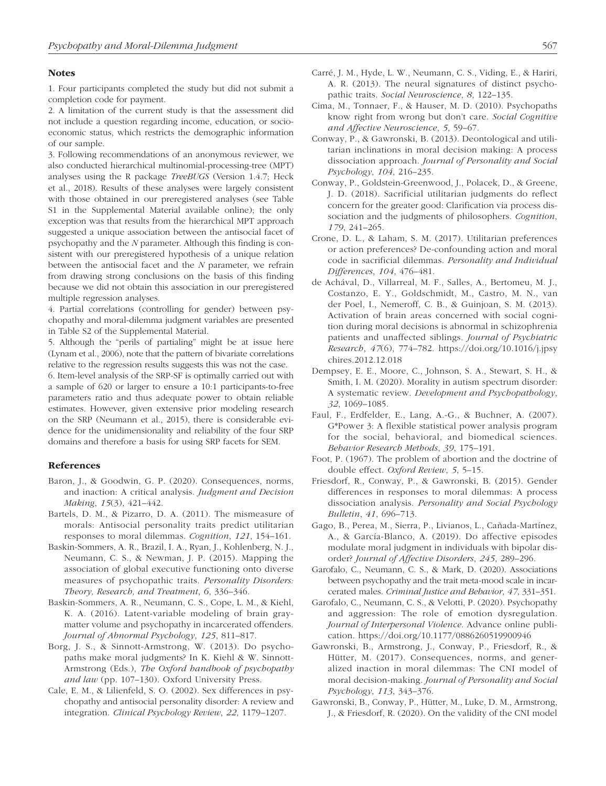#### **Notes**

1. Four participants completed the study but did not submit a completion code for payment.

2. A limitation of the current study is that the assessment did not include a question regarding income, education, or socioeconomic status, which restricts the demographic information of our sample.

3. Following recommendations of an anonymous reviewer, we also conducted hierarchical multinomial-processing-tree (MPT) analyses using the R package *TreeBUGS* (Version 1.4.7; Heck et al., 2018). Results of these analyses were largely consistent with those obtained in our preregistered analyses (see Table S1 in the Supplemental Material available online); the only exception was that results from the hierarchical MPT approach suggested a unique association between the antisocial facet of psychopathy and the *N* parameter. Although this finding is consistent with our preregistered hypothesis of a unique relation between the antisocial facet and the *N* parameter, we refrain from drawing strong conclusions on the basis of this finding because we did not obtain this association in our preregistered multiple regression analyses.

4. Partial correlations (controlling for gender) between psychopathy and moral-dilemma judgment variables are presented in Table S2 of the Supplemental Material.

5. Although the "perils of partialing" might be at issue here (Lynam et al., 2006), note that the pattern of bivariate correlations relative to the regression results suggests this was not the case.

6. Item-level analysis of the SRP-SF is optimally carried out with a sample of 620 or larger to ensure a 10:1 participants-to-free parameters ratio and thus adequate power to obtain reliable estimates. However, given extensive prior modeling research on the SRP (Neumann et al., 2015), there is considerable evidence for the unidimensionality and reliability of the four SRP domains and therefore a basis for using SRP facets for SEM.

#### References

- Baron, J., & Goodwin, G. P. (2020). Consequences, norms, and inaction: A critical analysis. *Judgment and Decision Making*, *15*(3), 421–442.
- Bartels, D. M., & Pizarro, D. A. (2011). The mismeasure of morals: Antisocial personality traits predict utilitarian responses to moral dilemmas. *Cognition*, *121*, 154–161.
- Baskin-Sommers, A. R., Brazil, I. A., Ryan, J., Kohlenberg, N. J., Neumann, C. S., & Newman, J. P. (2015). Mapping the association of global executive functioning onto diverse measures of psychopathic traits. *Personality Disorders: Theory, Research, and Treatment*, *6*, 336–346.
- Baskin-Sommers, A. R., Neumann, C. S., Cope, L. M., & Kiehl, K. A. (2016). Latent-variable modeling of brain graymatter volume and psychopathy in incarcerated offenders. *Journal of Abnormal Psychology*, *125*, 811–817.
- Borg, J. S., & Sinnott-Armstrong, W. (2013). Do psychopaths make moral judgments? In K. Kiehl & W. Sinnott-Armstrong (Eds.), *The Oxford handbook of psychopathy and law* (pp. 107–130). Oxford University Press.
- Cale, E. M., & Lilienfeld, S. O. (2002). Sex differences in psychopathy and antisocial personality disorder: A review and integration. *Clinical Psychology Review*, *22*, 1179–1207.
- Carré, J. M., Hyde, L. W., Neumann, C. S., Viding, E., & Hariri, A. R. (2013). The neural signatures of distinct psychopathic traits. *Social Neuroscience*, *8*, 122–135.
- Cima, M., Tonnaer, F., & Hauser, M. D. (2010). Psychopaths know right from wrong but don't care. *Social Cognitive and Affective Neuroscience*, *5*, 59–67.
- Conway, P., & Gawronski, B. (2013). Deontological and utilitarian inclinations in moral decision making: A process dissociation approach. *Journal of Personality and Social Psychology*, *104*, 216–235.
- Conway, P., Goldstein-Greenwood, J., Polacek, D., & Greene, J. D. (2018). Sacrificial utilitarian judgments do reflect concern for the greater good: Clarification via process dissociation and the judgments of philosophers. *Cognition*, *179*, 241–265.
- Crone, D. L., & Laham, S. M. (2017). Utilitarian preferences or action preferences? De-confounding action and moral code in sacrificial dilemmas. *Personality and Individual Differences*, *104*, 476–481.
- de Achával, D., Villarreal, M. F., Salles, A., Bertomeu, M. J., Costanzo, E. Y., Goldschmidt, M., Castro, M. N., van der Poel, I., Nemeroff, C. B., & Guinjoan, S. M. (2013). Activation of brain areas concerned with social cognition during moral decisions is abnormal in schizophrenia patients and unaffected siblings. *Journal of Psychiatric Research*, *47*(6), 774–782. [https://doi.org/10.1016/j.jpsy](https://doi.org/10.1016/j.jpsychires.2012.12.018) [chires.2012.12.018](https://doi.org/10.1016/j.jpsychires.2012.12.018)
- Dempsey, E. E., Moore, C., Johnson, S. A., Stewart, S. H., & Smith, I. M. (2020). Morality in autism spectrum disorder: A systematic review. *Development and Psychopathology*, *32*, 1069–1085.
- Faul, F., Erdfelder, E., Lang, A.-G., & Buchner, A. (2007). G\*Power 3: A flexible statistical power analysis program for the social, behavioral, and biomedical sciences. *Behavior Research Methods*, *39*, 175–191.
- Foot, P. (1967). The problem of abortion and the doctrine of double effect. *Oxford Review*, *5*, 5–15.
- Friesdorf, R., Conway, P., & Gawronski, B. (2015). Gender differences in responses to moral dilemmas: A process dissociation analysis. *Personality and Social Psychology Bulletin*, *41*, 696–713.
- Gago, B., Perea, M., Sierra, P., Livianos, L., Cañada-Martínez, A., & García-Blanco, A. (2019). Do affective episodes modulate moral judgment in individuals with bipolar disorder? *Journal of Affective Disorders*, *245*, 289–296.
- Garofalo, C., Neumann, C. S., & Mark, D. (2020). Associations between psychopathy and the trait meta-mood scale in incarcerated males. *Criminal Justice and Behavior*, *47*, 331–351.
- Garofalo, C., Neumann, C. S., & Velotti, P. (2020). Psychopathy and aggression: The role of emotion dysregulation. *Journal of Interpersonal Violence*. Advance online publication. <https://doi.org/10.1177/0886260519900946>
- Gawronski, B., Armstrong, J., Conway, P., Friesdorf, R., & Hütter, M. (2017). Consequences, norms, and generalized inaction in moral dilemmas: The CNI model of moral decision-making. *Journal of Personality and Social Psychology*, *113*, 343–376.
- Gawronski, B., Conway, P., Hütter, M., Luke, D. M., Armstrong, J., & Friesdorf, R. (2020). On the validity of the CNI model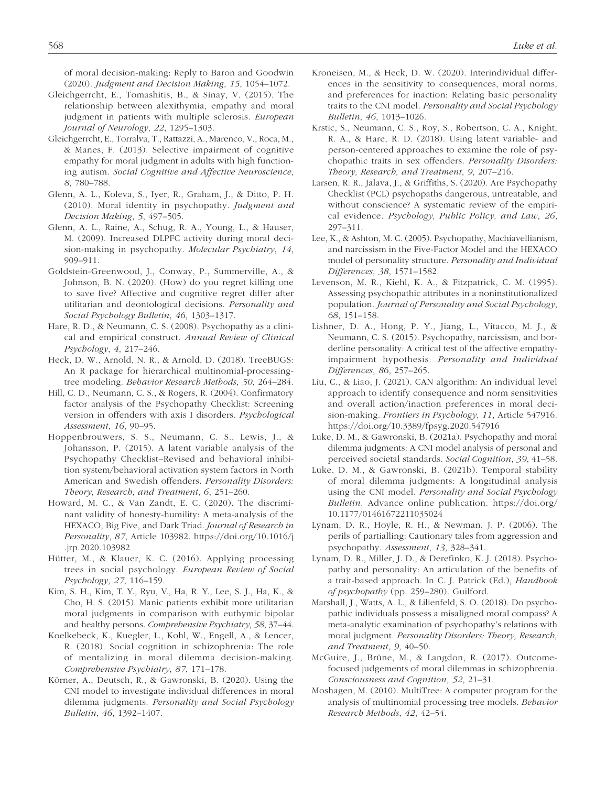of moral decision-making: Reply to Baron and Goodwin (2020). *Judgment and Decision Making*, *15*, 1054–1072.

- Gleichgerrcht, E., Tomashitis, B., & Sinay, V. (2015). The relationship between alexithymia, empathy and moral judgment in patients with multiple sclerosis. *European Journal of Neurology*, *22*, 1295–1303.
- Gleichgerrcht, E., Torralva, T., Rattazzi, A., Marenco, V., Roca, M., & Manes, F. (2013). Selective impairment of cognitive empathy for moral judgment in adults with high functioning autism. *Social Cognitive and Affective Neuroscience*, *8*, 780–788.
- Glenn, A. L., Koleva, S., Iyer, R., Graham, J., & Ditto, P. H. (2010). Moral identity in psychopathy. *Judgment and Decision Making*, *5*, 497–505.
- Glenn, A. L., Raine, A., Schug, R. A., Young, L., & Hauser, M. (2009). Increased DLPFC activity during moral decision-making in psychopathy. *Molecular Psychiatry*, *14*, 909–911.
- Goldstein-Greenwood, J., Conway, P., Summerville, A., & Johnson, B. N. (2020). (How) do you regret killing one to save five? Affective and cognitive regret differ after utilitarian and deontological decisions. *Personality and Social Psychology Bulletin*, *46*, 1303–1317.
- Hare, R. D., & Neumann, C. S. (2008). Psychopathy as a clinical and empirical construct. *Annual Review of Clinical Psychology*, *4*, 217–246.
- Heck, D. W., Arnold, N. R., & Arnold, D. (2018). TreeBUGS: An R package for hierarchical multinomial-processingtree modeling. *Behavior Research Methods*, *50*, 264–284.
- Hill, C. D., Neumann, C. S., & Rogers, R. (2004). Confirmatory factor analysis of the Psychopathy Checklist: Screening version in offenders with axis I disorders. *Psychological Assessment*, *16*, 90–95.
- Hoppenbrouwers, S. S., Neumann, C. S., Lewis, J., & Johansson, P. (2015). A latent variable analysis of the Psychopathy Checklist–Revised and behavioral inhibition system/behavioral activation system factors in North American and Swedish offenders. *Personality Disorders: Theory, Research, and Treatment*, *6*, 251–260.
- Howard, M. C., & Van Zandt, E. C. (2020). The discriminant validity of honesty-humility: A meta-analysis of the HEXACO, Big Five, and Dark Triad. *Journal of Research in Personality*, *87*, Article 103982. [https://doi.org/10.1016/j](https://doi.org/10.1016/j.jrp.2020.103982) [.jrp.2020.103982](https://doi.org/10.1016/j.jrp.2020.103982)
- Hütter, M., & Klauer, K. C. (2016). Applying processing trees in social psychology. *European Review of Social Psychology*, *27*, 116–159.
- Kim, S. H., Kim, T. Y., Ryu, V., Ha, R. Y., Lee, S. J., Ha, K., & Cho, H. S. (2015). Manic patients exhibit more utilitarian moral judgments in comparison with euthymic bipolar and healthy persons. *Comprehensive Psychiatry*, *58*, 37–44.
- Koelkebeck, K., Kuegler, L., Kohl, W., Engell, A., & Lencer, R. (2018). Social cognition in schizophrenia: The role of mentalizing in moral dilemma decision-making. *Comprehensive Psychiatry*, *87*, 171–178.
- Körner, A., Deutsch, R., & Gawronski, B. (2020). Using the CNI model to investigate individual differences in moral dilemma judgments. *Personality and Social Psychology Bulletin*, *46*, 1392–1407.
- Kroneisen, M., & Heck, D. W. (2020). Interindividual differences in the sensitivity to consequences, moral norms, and preferences for inaction: Relating basic personality traits to the CNI model. *Personality and Social Psychology Bulletin*, *46*, 1013–1026.
- Krstic, S., Neumann, C. S., Roy, S., Robertson, C. A., Knight, R. A., & Hare, R. D. (2018). Using latent variable- and person-centered approaches to examine the role of psychopathic traits in sex offenders. *Personality Disorders: Theory, Research, and Treatment*, *9*, 207–216.
- Larsen, R. R., Jalava, J., & Griffiths, S. (2020). Are Psychopathy Checklist (PCL) psychopaths dangerous, untreatable, and without conscience? A systematic review of the empirical evidence. *Psychology, Public Policy, and Law*, *26*, 297–311.
- Lee, K., & Ashton, M. C. (2005). Psychopathy, Machiavellianism, and narcissism in the Five-Factor Model and the HEXACO model of personality structure. *Personality and Individual Differences*, *38*, 1571–1582.
- Levenson, M. R., Kiehl, K. A., & Fitzpatrick, C. M. (1995). Assessing psychopathic attributes in a noninstitutionalized population. *Journal of Personality and Social Psychology*, *68*, 151–158.
- Lishner, D. A., Hong, P. Y., Jiang, L., Vitacco, M. J., & Neumann, C. S. (2015). Psychopathy, narcissism, and borderline personality: A critical test of the affective empathyimpairment hypothesis. *Personality and Individual Differences*, *86*, 257–265.
- Liu, C., & Liao, J. (2021). CAN algorithm: An individual level approach to identify consequence and norm sensitivities and overall action/inaction preferences in moral decision-making. *Frontiers in Psychology*, *11*, Article 547916. <https://doi.org/10.3389/fpsyg.2020.547916>
- Luke, D. M., & Gawronski, B. (2021a). Psychopathy and moral dilemma judgments: A CNI model analysis of personal and perceived societal standards. *Social Cognition*, *39*, 41–58.
- Luke, D. M., & Gawronski, B. (2021b). Temporal stability of moral dilemma judgments: A longitudinal analysis using the CNI model. *Personality and Social Psychology Bulletin*. Advance online publication. [https://doi.org/](https://doi.org/10.1177/01461672211035024) [10.1177/01461672211035024](https://doi.org/10.1177/01461672211035024)
- Lynam, D. R., Hoyle, R. H., & Newman, J. P. (2006). The perils of partialling: Cautionary tales from aggression and psychopathy. *Assessment*, *13*, 328–341.
- Lynam, D. R., Miller, J. D., & Derefinko, K. J. (2018). Psychopathy and personality: An articulation of the benefits of a trait-based approach. In C. J. Patrick (Ed.), *Handbook of psychopathy* (pp. 259–280). Guilford.
- Marshall, J., Watts, A. L., & Lilienfeld, S. O. (2018). Do psychopathic individuals possess a misaligned moral compass? A meta-analytic examination of psychopathy's relations with moral judgment. *Personality Disorders: Theory, Research, and Treatment*, *9*, 40–50.
- McGuire, J., Brüne, M., & Langdon, R. (2017). Outcomefocused judgements of moral dilemmas in schizophrenia. *Consciousness and Cognition*, *52*, 21–31.
- Moshagen, M. (2010). MultiTree: A computer program for the analysis of multinomial processing tree models. *Behavior Research Methods*, *42*, 42–54.